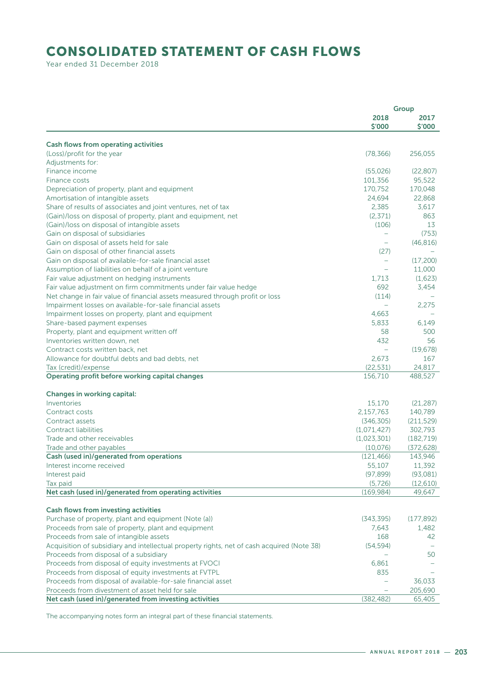## CONSOLIDATED STATEMENT OF CASH FLOWS

Year ended 31 December 2018

|                                                                                            | Group                    |                |
|--------------------------------------------------------------------------------------------|--------------------------|----------------|
|                                                                                            | 2018<br>\$'000           | 2017<br>\$'000 |
| <b>Cash flows from operating activities</b>                                                |                          |                |
| (Loss)/profit for the year                                                                 | (78, 366)                | 256,055        |
| Adjustments for:                                                                           |                          |                |
| Finance income                                                                             | (55,026)                 | (22, 807)      |
| Finance costs                                                                              | 101,356                  | 95,522         |
| Depreciation of property, plant and equipment                                              | 170,752                  | 170.048        |
| Amortisation of intangible assets                                                          | 24,694                   | 22,868         |
| Share of results of associates and joint ventures, net of tax                              | 2,385                    | 3,617          |
|                                                                                            |                          | 863            |
| (Gain)/loss on disposal of property, plant and equipment, net                              | (2, 371)                 |                |
| (Gain)/loss on disposal of intangible assets                                               | (106)                    | 13             |
| Gain on disposal of subsidiaries                                                           | $\overline{\phantom{m}}$ | (753)          |
| Gain on disposal of assets held for sale                                                   |                          | (46, 816)      |
| Gain on disposal of other financial assets                                                 | (27)                     |                |
| Gain on disposal of available-for-sale financial asset                                     | $\overline{\phantom{0}}$ | (17,200)       |
| Assumption of liabilities on behalf of a joint venture                                     |                          | 11,000         |
| Fair value adjustment on hedging instruments                                               | 1,713                    | (1,623)        |
| Fair value adjustment on firm commitments under fair value hedge                           | 692                      | 3,454          |
| Net change in fair value of financial assets measured through profit or loss               | (114)                    |                |
| Impairment losses on available-for-sale financial assets                                   | $\overline{\phantom{m}}$ | 2,275          |
| Impairment losses on property, plant and equipment                                         | 4,663                    |                |
| Share-based payment expenses                                                               | 5.833                    | 6,149          |
| Property, plant and equipment written off                                                  | 58                       | 500            |
| Inventories written down, net                                                              | 432                      | 56             |
| Contract costs written back, net                                                           |                          | (19, 678)      |
| Allowance for doubtful debts and bad debts, net                                            | 2,673                    | 167            |
| Tax (credit)/expense                                                                       | (22, 531)                | 24,817         |
| Operating profit before working capital changes                                            | 156,710                  | 488,527        |
| <b>Changes in working capital:</b>                                                         |                          |                |
| Inventories                                                                                | 15,170                   | (21, 287)      |
| Contract costs                                                                             | 2,157,763                | 140,789        |
| Contract assets                                                                            | (346, 305)               | (211, 529)     |
| Contract liabilities                                                                       | (1,071,427)              | 302,793        |
| Trade and other receivables                                                                | (1,023,301)              | (182, 719)     |
| Trade and other payables                                                                   | (10,076)                 | (372, 628)     |
| Cash (used in)/generated from operations                                                   | (121, 466)               | 143,946        |
| Interest income received                                                                   | 55,107                   | 11,392         |
| Interest paid                                                                              | (97, 899)                | (93,081)       |
| Tax paid                                                                                   | (5, 726)                 | (12,610)       |
| Net cash (used in)/generated from operating activities                                     | (169, 984)               | 49,647         |
| Cash flows from investing activities                                                       |                          |                |
| Purchase of property, plant and equipment (Note (a))                                       | (343, 395)               | (177, 892)     |
| Proceeds from sale of property, plant and equipment                                        | 7,643                    | 1,482          |
| Proceeds from sale of intangible assets                                                    | 168                      | 42             |
| Acquisition of subsidiary and intellectual property rights, net of cash acquired (Note 38) | (54, 594)                |                |
| Proceeds from disposal of a subsidiary                                                     |                          | 50             |
| Proceeds from disposal of equity investments at FVOCI                                      | 6,861                    |                |
| Proceeds from disposal of equity investments at FVTPL                                      | 835                      |                |
| Proceeds from disposal of available-for-sale financial asset                               |                          | 36,033         |
| Proceeds from divestment of asset held for sale                                            |                          | 205,690        |
| Net cash (used in)/generated from investing activities                                     | (382, 482)               | 65,405         |

The accompanying notes form an integral part of these financial statements.